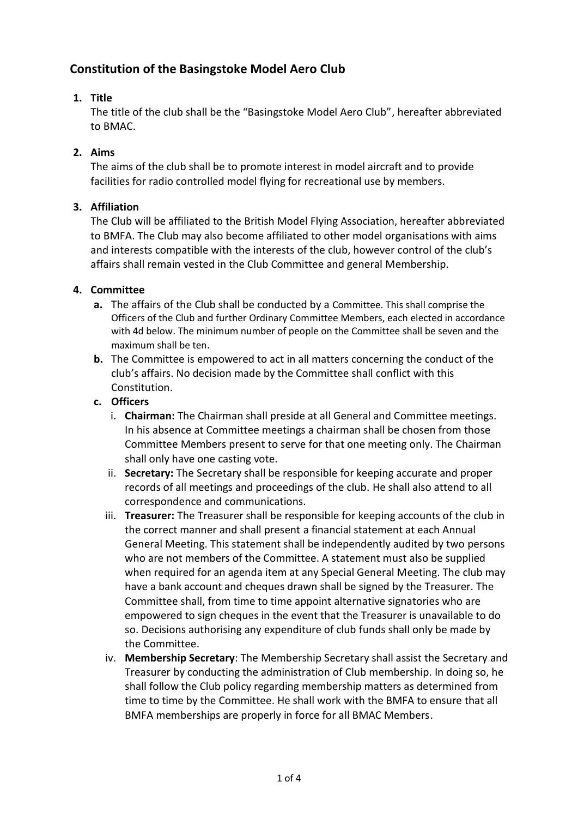# **Constitution of the Basingstoke Model Aero Club**

### **1. Title**

The title of the club shall be the "Basingstoke Model Aero Club", hereafter abbreviated to BMAC.

### **2. Aims**

The aims of the club shall be to promote interest in model aircraft and to provide facilities for radio controlled model flying for recreational use by members.

#### **3. Affiliation**

The Club will be affiliated to the British Model Flying Association, hereafter abbreviated to BMFA. The Club may also become affiliated to other model organisations with aims and interests compatible with the interests of the club, however control of the club's affairs shall remain vested in the Club Committee and general Membership.

#### **4. Committee**

- **a.** The affairs of the Club shall be conducted by a Committee. This shall comprise the Officers of the Club and further Ordinary Committee Members, each elected in accordance with 4d below. The minimum number of people on the Committee shall be seven and the maximum shall be ten.
- **b.** The Committee is empowered to act in all matters concerning the conduct of the club's affairs. No decision made by the Committee shall conflict with this Constitution.

### **c. Officers**

- i. **Chairman:** The Chairman shall preside at all General and Committee meetings. In his absence at Committee meetings a chairman shall be chosen from those Committee Members present to serve for that one meeting only. The Chairman shall only have one casting vote.
- ii. **Secretary:** The Secretary shall be responsible for keeping accurate and proper records of all meetings and proceedings of the club. He shall also attend to all correspondence and communications.
- iii. **Treasurer:** The Treasurer shall be responsible for keeping accounts of the club in the correct manner and shall present a financial statement at each Annual General Meeting. This statement shall be independently audited by two persons who are not members of the Committee. A statement must also be supplied when required for an agenda item at any Special General Meeting. The club may have a bank account and cheques drawn shall be signed by the Treasurer. The Committee shall, from time to time appoint alternative signatories who are empowered to sign cheques in the event that the Treasurer is unavailable to do so. Decisions authorising any expenditure of club funds shall only be made by the Committee.
- iv. **Membership Secretary**: The Membership Secretary shall assist the Secretary and Treasurer by conducting the administration of Club membership. In doing so, he shall follow the Club policy regarding membership matters as determined from time to time by the Committee. He shall work with the BMFA to ensure that all BMFA memberships are properly in force for all BMAC Members.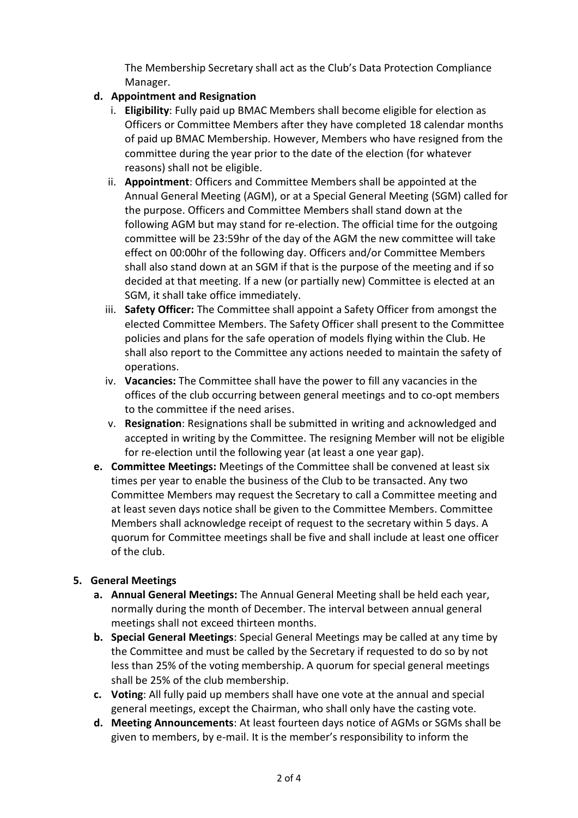The Membership Secretary shall act as the Club's Data Protection Compliance Manager.

### **d. Appointment and Resignation**

- i. **Eligibility**: Fully paid up BMAC Members shall become eligible for election as Officers or Committee Members after they have completed 18 calendar months of paid up BMAC Membership. However, Members who have resigned from the committee during the year prior to the date of the election (for whatever reasons) shall not be eligible.
- ii. **Appointment**: Officers and Committee Members shall be appointed at the Annual General Meeting (AGM), or at a Special General Meeting (SGM) called for the purpose. Officers and Committee Members shall stand down at the following AGM but may stand for re-election. The official time for the outgoing committee will be 23:59hr of the day of the AGM the new committee will take effect on 00:00hr of the following day. Officers and/or Committee Members shall also stand down at an SGM if that is the purpose of the meeting and if so decided at that meeting. If a new (or partially new) Committee is elected at an SGM, it shall take office immediately.
- iii. **Safety Officer:** The Committee shall appoint a Safety Officer from amongst the elected Committee Members. The Safety Officer shall present to the Committee policies and plans for the safe operation of models flying within the Club. He shall also report to the Committee any actions needed to maintain the safety of operations.
- iv. **Vacancies:** The Committee shall have the power to fill any vacancies in the offices of the club occurring between general meetings and to co-opt members to the committee if the need arises.
- v. **Resignation**: Resignations shall be submitted in writing and acknowledged and accepted in writing by the Committee. The resigning Member will not be eligible for re-election until the following year (at least a one year gap).
- **e. Committee Meetings:** Meetings of the Committee shall be convened at least six times per year to enable the business of the Club to be transacted. Any two Committee Members may request the Secretary to call a Committee meeting and at least seven days notice shall be given to the Committee Members. Committee Members shall acknowledge receipt of request to the secretary within 5 days. A quorum for Committee meetings shall be five and shall include at least one officer of the club.

# **5. General Meetings**

- **a. Annual General Meetings:** The Annual General Meeting shall be held each year, normally during the month of December. The interval between annual general meetings shall not exceed thirteen months.
- **b. Special General Meetings**: Special General Meetings may be called at any time by the Committee and must be called by the Secretary if requested to do so by not less than 25% of the voting membership. A quorum for special general meetings shall be 25% of the club membership.
- **c. Voting**: All fully paid up members shall have one vote at the annual and special general meetings, except the Chairman, who shall only have the casting vote.
- **d. Meeting Announcements**: At least fourteen days notice of AGMs or SGMs shall be given to members, by e-mail. It is the member's responsibility to inform the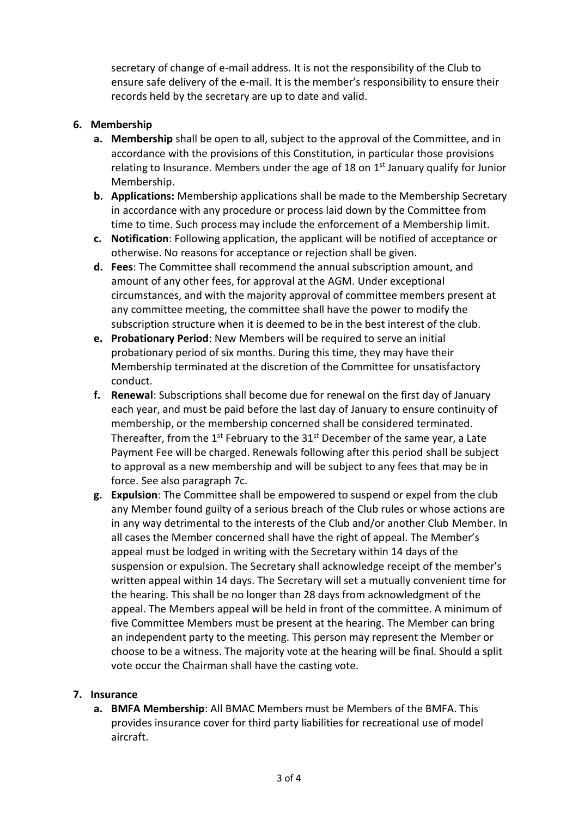secretary of change of e-mail address. It is not the responsibility of the Club to ensure safe delivery of the e-mail. It is the member's responsibility to ensure their records held by the secretary are up to date and valid.

#### **6. Membership**

- **a. Membership** shall be open to all, subject to the approval of the Committee, and in accordance with the provisions of this Constitution, in particular those provisions relating to Insurance. Members under the age of 18 on  $1<sup>st</sup>$  January qualify for Junior Membership.
- **b. Applications:** Membership applications shall be made to the Membership Secretary in accordance with any procedure or process laid down by the Committee from time to time. Such process may include the enforcement of a Membership limit.
- **c. Notification**: Following application, the applicant will be notified of acceptance or otherwise. No reasons for acceptance or rejection shall be given.
- **d. Fees**: The Committee shall recommend the annual subscription amount, and amount of any other fees, for approval at the AGM. Under exceptional circumstances, and with the majority approval of committee members present at any committee meeting, the committee shall have the power to modify the subscription structure when it is deemed to be in the best interest of the club.
- **e. Probationary Period**: New Members will be required to serve an initial probationary period of six months. During this time, they may have their Membership terminated at the discretion of the Committee for unsatisfactory conduct.
- **f. Renewal**: Subscriptions shall become due for renewal on the first day of January each year, and must be paid before the last day of January to ensure continuity of membership, or the membership concerned shall be considered terminated. Thereafter, from the  $1^{st}$  February to the 31st December of the same year, a Late Payment Fee will be charged. Renewals following after this period shall be subject to approval as a new membership and will be subject to any fees that may be in force. See also paragraph 7c.
- **g. Expulsion**: The Committee shall be empowered to suspend or expel from the club any Member found guilty of a serious breach of the Club rules or whose actions are in any way detrimental to the interests of the Club and/or another Club Member. In all cases the Member concerned shall have the right of appeal. The Member's appeal must be lodged in writing with the Secretary within 14 days of the suspension or expulsion. The Secretary shall acknowledge receipt of the member's written appeal within 14 days. The Secretary will set a mutually convenient time for the hearing. This shall be no longer than 28 days from acknowledgment of the appeal. The Members appeal will be held in front of the committee. A minimum of five Committee Members must be present at the hearing. The Member can bring an independent party to the meeting. This person may represent the Member or choose to be a witness. The majority vote at the hearing will be final. Should a split vote occur the Chairman shall have the casting vote.

#### **7. Insurance**

**a. BMFA Membership**: All BMAC Members must be Members of the BMFA. This provides insurance cover for third party liabilities for recreational use of model aircraft.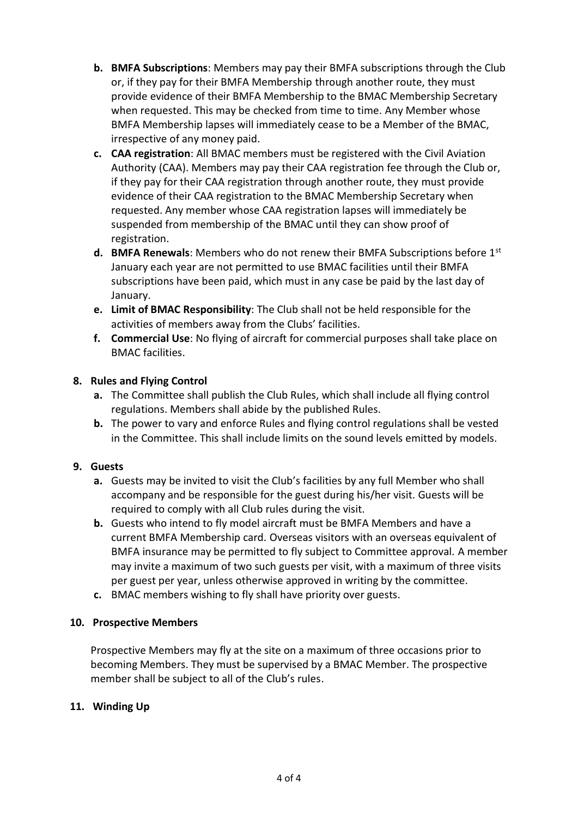- **b. BMFA Subscriptions**: Members may pay their BMFA subscriptions through the Club or, if they pay for their BMFA Membership through another route, they must provide evidence of their BMFA Membership to the BMAC Membership Secretary when requested. This may be checked from time to time. Any Member whose BMFA Membership lapses will immediately cease to be a Member of the BMAC, irrespective of any money paid.
- **c. CAA registration**: All BMAC members must be registered with the Civil Aviation Authority (CAA). Members may pay their CAA registration fee through the Club or, if they pay for their CAA registration through another route, they must provide evidence of their CAA registration to the BMAC Membership Secretary when requested. Any member whose CAA registration lapses will immediately be suspended from membership of the BMAC until they can show proof of registration.
- **d. BMFA Renewals**: Members who do not renew their BMFA Subscriptions before 1st January each year are not permitted to use BMAC facilities until their BMFA subscriptions have been paid, which must in any case be paid by the last day of January.
- **e. Limit of BMAC Responsibility**: The Club shall not be held responsible for the activities of members away from the Clubs' facilities.
- **f. Commercial Use**: No flying of aircraft for commercial purposes shall take place on BMAC facilities.

### **8. Rules and Flying Control**

- **a.** The Committee shall publish the Club Rules, which shall include all flying control regulations. Members shall abide by the published Rules.
- **b.** The power to vary and enforce Rules and flying control regulations shall be vested in the Committee. This shall include limits on the sound levels emitted by models.

#### **9. Guests**

- **a.** Guests may be invited to visit the Club's facilities by any full Member who shall accompany and be responsible for the guest during his/her visit. Guests will be required to comply with all Club rules during the visit.
- **b.** Guests who intend to fly model aircraft must be BMFA Members and have a current BMFA Membership card. Overseas visitors with an overseas equivalent of BMFA insurance may be permitted to fly subject to Committee approval. A member may invite a maximum of two such guests per visit, with a maximum of three visits per guest per year, unless otherwise approved in writing by the committee.
- **c.** BMAC members wishing to fly shall have priority over guests.

#### **10. Prospective Members**

Prospective Members may fly at the site on a maximum of three occasions prior to becoming Members. They must be supervised by a BMAC Member. The prospective member shall be subject to all of the Club's rules.

# **11. Winding Up**